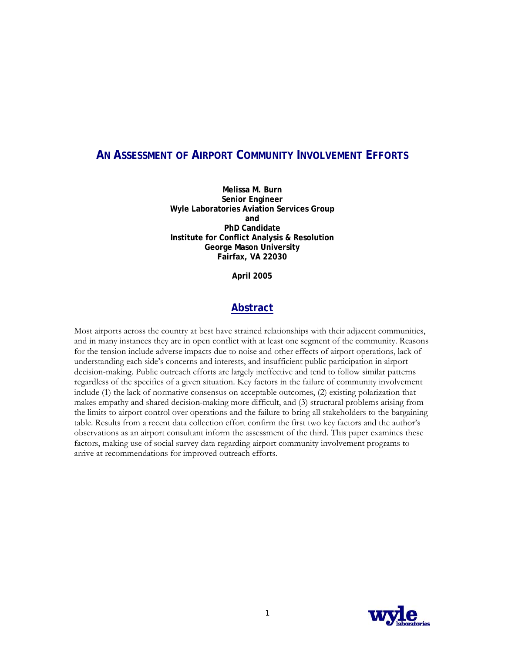# **AN ASSESSMENT OF AIRPORT COMMUNITY INVOLVEMENT EFFORTS**

**Melissa M. Burn Senior Engineer Wyle Laboratories Aviation Services Group and PhD Candidate Institute for Conflict Analysis & Resolution George Mason University Fairfax, VA 22030** 

**April 2005** 

# **Abstract**

Most airports across the country at best have strained relationships with their adjacent communities, and in many instances they are in open conflict with at least one segment of the community. Reasons for the tension include adverse impacts due to noise and other effects of airport operations, lack of understanding each side's concerns and interests, and insufficient public participation in airport decision-making. Public outreach efforts are largely ineffective and tend to follow similar patterns regardless of the specifics of a given situation. Key factors in the failure of community involvement include (1) the lack of normative consensus on acceptable outcomes, (2) existing polarization that makes empathy and shared decision-making more difficult, and (3) structural problems arising from the limits to airport control over operations and the failure to bring all stakeholders to the bargaining table. Results from a recent data collection effort confirm the first two key factors and the author's observations as an airport consultant inform the assessment of the third. This paper examines these factors, making use of social survey data regarding airport community involvement programs to arrive at recommendations for improved outreach efforts.

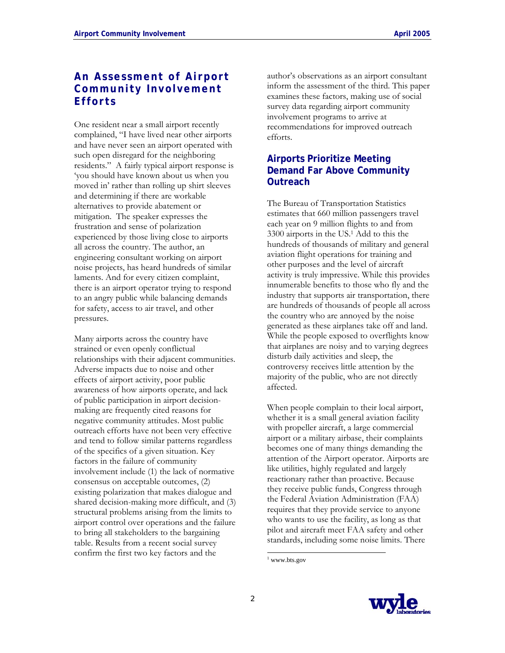# **An Assessment of Airport Community Involvement Efforts**

One resident near a small airport recently complained, "I have lived near other airports and have never seen an airport operated with such open disregard for the neighboring residents." A fairly typical airport response is 'you should have known about us when you moved in' rather than rolling up shirt sleeves and determining if there are workable alternatives to provide abatement or mitigation. The speaker expresses the frustration and sense of polarization experienced by those living close to airports all across the country. The author, an engineering consultant working on airport noise projects, has heard hundreds of similar laments. And for every citizen complaint, there is an airport operator trying to respond to an angry public while balancing demands for safety, access to air travel, and other pressures.

Many airports across the country have strained or even openly conflictual relationships with their adjacent communities. Adverse impacts due to noise and other effects of airport activity, poor public awareness of how airports operate, and lack of public participation in airport decisionmaking are frequently cited reasons for negative community attitudes. Most public outreach efforts have not been very effective and tend to follow similar patterns regardless of the specifics of a given situation. Key factors in the failure of community involvement include (1) the lack of normative consensus on acceptable outcomes, (2) existing polarization that makes dialogue and shared decision-making more difficult, and (3) structural problems arising from the limits to airport control over operations and the failure to bring all stakeholders to the bargaining table. Results from a recent social survey confirm the first two key factors and the

author's observations as an airport consultant inform the assessment of the third. This paper examines these factors, making use of social survey data regarding airport community involvement programs to arrive at recommendations for improved outreach efforts.

# **Airports Prioritize Meeting Demand Far Above Community Outreach**

The Bureau of Transportation Statistics estimates that 660 million passengers travel each year on 9 million flights to and from 3300 airports in the US.1 Add to this the hundreds of thousands of military and general aviation flight operations for training and other purposes and the level of aircraft activity is truly impressive. While this provides innumerable benefits to those who fly and the industry that supports air transportation, there are hundreds of thousands of people all across the country who are annoyed by the noise generated as these airplanes take off and land. While the people exposed to overflights know that airplanes are noisy and to varying degrees disturb daily activities and sleep, the controversy receives little attention by the majority of the public, who are not directly affected.

When people complain to their local airport, whether it is a small general aviation facility with propeller aircraft, a large commercial airport or a military airbase, their complaints becomes one of many things demanding the attention of the Airport operator. Airports are like utilities, highly regulated and largely reactionary rather than proactive. Because they receive public funds, Congress through the Federal Aviation Administration (FAA) requires that they provide service to anyone who wants to use the facility, as long as that pilot and aircraft meet FAA safety and other standards, including some noise limits. There

 $\overline{\phantom{a}}$ 



<sup>1</sup> www.bts.gov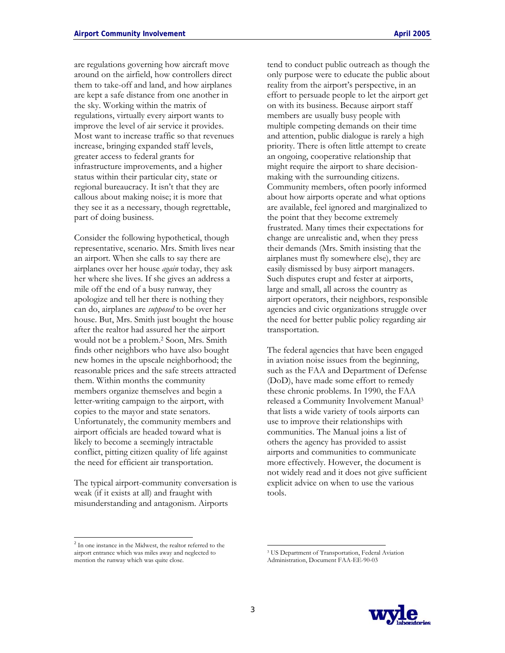are regulations governing how aircraft move around on the airfield, how controllers direct them to take-off and land, and how airplanes are kept a safe distance from one another in the sky. Working within the matrix of regulations, virtually every airport wants to improve the level of air service it provides. Most want to increase traffic so that revenues increase, bringing expanded staff levels, greater access to federal grants for infrastructure improvements, and a higher status within their particular city, state or regional bureaucracy. It isn't that they are callous about making noise; it is more that they see it as a necessary, though regrettable, part of doing business.

Consider the following hypothetical, though representative, scenario. Mrs. Smith lives near an airport. When she calls to say there are airplanes over her house *again* today, they ask her where she lives. If she gives an address a mile off the end of a busy runway, they apologize and tell her there is nothing they can do, airplanes are *supposed* to be over her house. But, Mrs. Smith just bought the house after the realtor had assured her the airport would not be a problem.2 Soon, Mrs. Smith finds other neighbors who have also bought new homes in the upscale neighborhood; the reasonable prices and the safe streets attracted them. Within months the community members organize themselves and begin a letter-writing campaign to the airport, with copies to the mayor and state senators. Unfortunately, the community members and airport officials are headed toward what is likely to become a seemingly intractable conflict, pitting citizen quality of life against the need for efficient air transportation.

The typical airport-community conversation is weak (if it exists at all) and fraught with misunderstanding and antagonism. Airports

tend to conduct public outreach as though the only purpose were to educate the public about reality from the airport's perspective, in an effort to persuade people to let the airport get on with its business. Because airport staff members are usually busy people with multiple competing demands on their time and attention, public dialogue is rarely a high priority. There is often little attempt to create an ongoing, cooperative relationship that might require the airport to share decisionmaking with the surrounding citizens. Community members, often poorly informed about how airports operate and what options are available, feel ignored and marginalized to the point that they become extremely frustrated. Many times their expectations for change are unrealistic and, when they press their demands (Mrs. Smith insisting that the airplanes must fly somewhere else), they are easily dismissed by busy airport managers. Such disputes erupt and fester at airports, large and small, all across the country as airport operators, their neighbors, responsible agencies and civic organizations struggle over the need for better public policy regarding air transportation.

The federal agencies that have been engaged in aviation noise issues from the beginning, such as the FAA and Department of Defense (DoD), have made some effort to remedy these chronic problems. In 1990, the FAA released a Community Involvement Manual3 that lists a wide variety of tools airports can use to improve their relationships with communities. The Manual joins a list of others the agency has provided to assist airports and communities to communicate more effectively. However, the document is not widely read and it does not give sufficient explicit advice on when to use the various tools.

 $\overline{\phantom{a}}$ 



<sup>&</sup>lt;sup>2</sup> In one instance in the Midwest, the realtor referred to the airport entrance which was miles away and neglected to mention the runway which was quite close.

<sup>3</sup> US Department of Transportation, Federal Aviation Administration, Document FAA-EE-90-03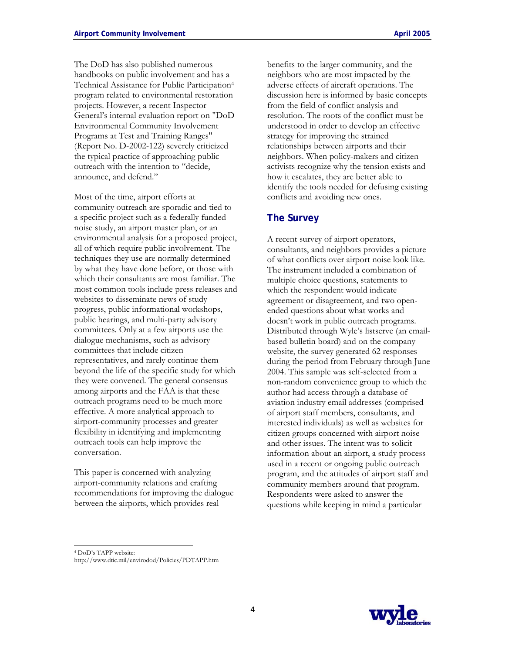The DoD has also published numerous handbooks on public involvement and has a Technical Assistance for Public Participation4 program related to environmental restoration projects. However, a recent Inspector General's internal evaluation report on "DoD Environmental Community Involvement Programs at Test and Training Ranges" (Report No. D-2002-122) severely criticized the typical practice of approaching public

outreach with the intention to "decide,

announce, and defend."

Most of the time, airport efforts at community outreach are sporadic and tied to a specific project such as a federally funded noise study, an airport master plan, or an environmental analysis for a proposed project, all of which require public involvement. The techniques they use are normally determined by what they have done before, or those with which their consultants are most familiar. The most common tools include press releases and websites to disseminate news of study progress, public informational workshops, public hearings, and multi-party advisory committees. Only at a few airports use the dialogue mechanisms, such as advisory committees that include citizen representatives, and rarely continue them beyond the life of the specific study for which they were convened. The general consensus among airports and the FAA is that these outreach programs need to be much more effective. A more analytical approach to airport-community processes and greater flexibility in identifying and implementing outreach tools can help improve the conversation.

This paper is concerned with analyzing airport-community relations and crafting recommendations for improving the dialogue between the airports, which provides real

benefits to the larger community, and the neighbors who are most impacted by the adverse effects of aircraft operations. The discussion here is informed by basic concepts from the field of conflict analysis and resolution. The roots of the conflict must be understood in order to develop an effective strategy for improving the strained relationships between airports and their neighbors. When policy-makers and citizen activists recognize why the tension exists and how it escalates, they are better able to identify the tools needed for defusing existing conflicts and avoiding new ones.

### **The Survey**

A recent survey of airport operators, consultants, and neighbors provides a picture of what conflicts over airport noise look like. The instrument included a combination of multiple choice questions, statements to which the respondent would indicate agreement or disagreement, and two openended questions about what works and doesn't work in public outreach programs. Distributed through Wyle's listserve (an emailbased bulletin board) and on the company website, the survey generated 62 responses during the period from February through June 2004. This sample was self-selected from a non-random convenience group to which the author had access through a database of aviation industry email addresses (comprised of airport staff members, consultants, and interested individuals) as well as websites for citizen groups concerned with airport noise and other issues. The intent was to solicit information about an airport, a study process used in a recent or ongoing public outreach program, and the attitudes of airport staff and community members around that program. Respondents were asked to answer the questions while keeping in mind a particular



<sup>4</sup> DoD's TAPP website:

http://www.dtic.mil/envirodod/Policies/PDTAPP.htm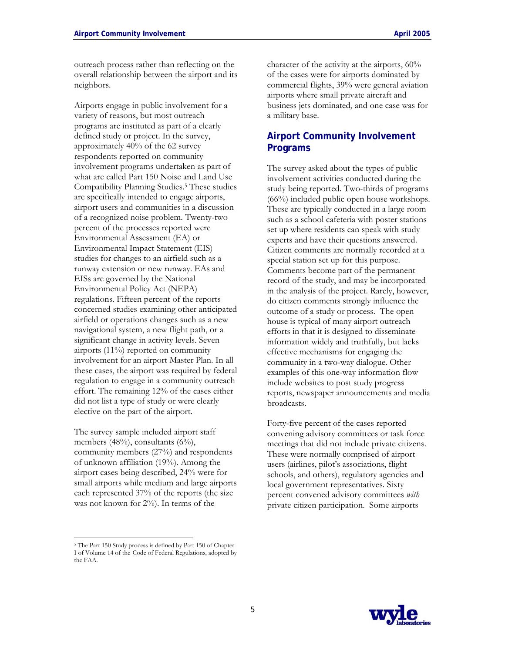outreach process rather than reflecting on the overall relationship between the airport and its neighbors.

Airports engage in public involvement for a variety of reasons, but most outreach programs are instituted as part of a clearly defined study or project. In the survey, approximately 40% of the 62 survey respondents reported on community involvement programs undertaken as part of what are called Part 150 Noise and Land Use Compatibility Planning Studies.5 These studies are specifically intended to engage airports, airport users and communities in a discussion of a recognized noise problem. Twenty-two percent of the processes reported were Environmental Assessment (EA) or Environmental Impact Statement (EIS) studies for changes to an airfield such as a runway extension or new runway. EAs and EISs are governed by the National Environmental Policy Act (NEPA) regulations. Fifteen percent of the reports concerned studies examining other anticipated airfield or operations changes such as a new navigational system, a new flight path, or a significant change in activity levels. Seven airports (11%) reported on community involvement for an airport Master Plan. In all these cases, the airport was required by federal regulation to engage in a community outreach effort. The remaining 12% of the cases either did not list a type of study or were clearly elective on the part of the airport.

The survey sample included airport staff members  $(48%)$ , consultants  $(6%)$ , community members (27%) and respondents of unknown affiliation (19%). Among the airport cases being described, 24% were for small airports while medium and large airports each represented 37% of the reports (the size was not known for 2%). In terms of the

character of the activity at the airports, 60% of the cases were for airports dominated by commercial flights, 39% were general aviation airports where small private aircraft and business jets dominated, and one case was for a military base.

# **Airport Community Involvement Programs**

The survey asked about the types of public involvement activities conducted during the study being reported. Two-thirds of programs (66%) included public open house workshops. These are typically conducted in a large room such as a school cafeteria with poster stations set up where residents can speak with study experts and have their questions answered. Citizen comments are normally recorded at a special station set up for this purpose. Comments become part of the permanent record of the study, and may be incorporated in the analysis of the project. Rarely, however, do citizen comments strongly influence the outcome of a study or process. The open house is typical of many airport outreach efforts in that it is designed to disseminate information widely and truthfully, but lacks effective mechanisms for engaging the community in a two-way dialogue. Other examples of this one-way information flow include websites to post study progress reports, newspaper announcements and media broadcasts.

Forty-five percent of the cases reported convening advisory committees or task force meetings that did not include private citizens. These were normally comprised of airport users (airlines, pilot's associations, flight schools, and others), regulatory agencies and local government representatives. Sixty percent convened advisory committees *with* private citizen participation. Some airports



<sup>5</sup> The Part 150 Study process is defined by Part 150 of Chapter I of Volume 14 of the Code of Federal Regulations, adopted by the FAA.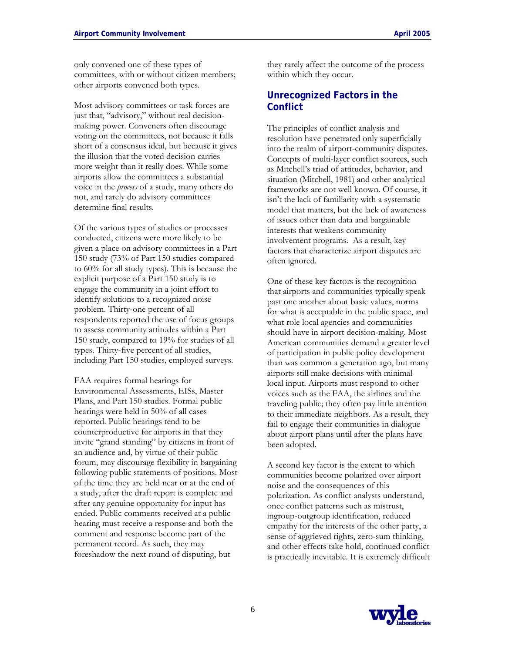Most advisory committees or task forces are just that, "advisory," without real decisionmaking power. Conveners often discourage voting on the committees, not because it falls short of a consensus ideal, but because it gives the illusion that the voted decision carries more weight than it really does. While some airports allow the committees a substantial voice in the *process* of a study, many others do not, and rarely do advisory committees determine final results.

Of the various types of studies or processes conducted, citizens were more likely to be given a place on advisory committees in a Part 150 study (73% of Part 150 studies compared to 60% for all study types). This is because the explicit purpose of a Part 150 study is to engage the community in a joint effort to identify solutions to a recognized noise problem. Thirty-one percent of all respondents reported the use of focus groups to assess community attitudes within a Part 150 study, compared to 19% for studies of all types. Thirty-five percent of all studies, including Part 150 studies, employed surveys.

FAA requires formal hearings for Environmental Assessments, EISs, Master Plans, and Part 150 studies. Formal public hearings were held in 50% of all cases reported. Public hearings tend to be counterproductive for airports in that they invite "grand standing" by citizens in front of an audience and, by virtue of their public forum, may discourage flexibility in bargaining following public statements of positions. Most of the time they are held near or at the end of a study, after the draft report is complete and after any genuine opportunity for input has ended. Public comments received at a public hearing must receive a response and both the comment and response become part of the permanent record. As such, they may foreshadow the next round of disputing, but

they rarely affect the outcome of the process within which they occur.

## **Unrecognized Factors in the Conflict**

The principles of conflict analysis and resolution have penetrated only superficially into the realm of airport-community disputes. Concepts of multi-layer conflict sources, such as Mitchell's triad of attitudes, behavior, and situation (Mitchell, 1981) and other analytical frameworks are not well known. Of course, it isn't the lack of familiarity with a systematic model that matters, but the lack of awareness of issues other than data and bargainable interests that weakens community involvement programs. As a result, key factors that characterize airport disputes are often ignored.

One of these key factors is the recognition that airports and communities typically speak past one another about basic values, norms for what is acceptable in the public space, and what role local agencies and communities should have in airport decision-making. Most American communities demand a greater level of participation in public policy development than was common a generation ago, but many airports still make decisions with minimal local input. Airports must respond to other voices such as the FAA, the airlines and the traveling public; they often pay little attention to their immediate neighbors. As a result, they fail to engage their communities in dialogue about airport plans until after the plans have been adopted.

A second key factor is the extent to which communities become polarized over airport noise and the consequences of this polarization. As conflict analysts understand, once conflict patterns such as mistrust, ingroup-outgroup identification, reduced empathy for the interests of the other party, a sense of aggrieved rights, zero-sum thinking, and other effects take hold, continued conflict is practically inevitable. It is extremely difficult

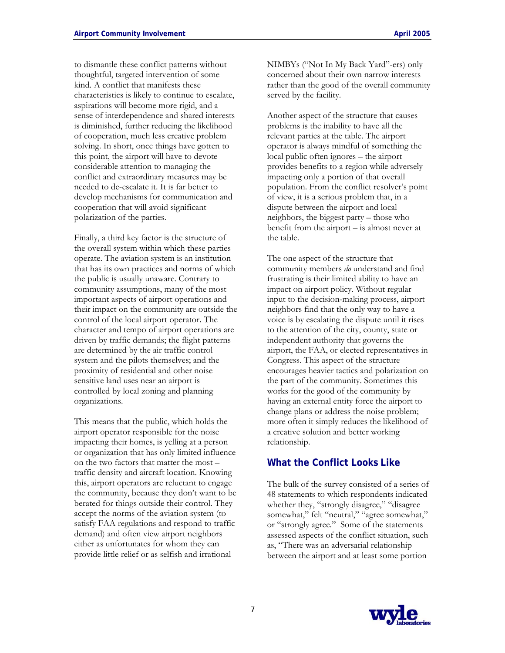to dismantle these conflict patterns without thoughtful, targeted intervention of some kind. A conflict that manifests these characteristics is likely to continue to escalate, aspirations will become more rigid, and a sense of interdependence and shared interests is diminished, further reducing the likelihood of cooperation, much less creative problem solving. In short, once things have gotten to this point, the airport will have to devote considerable attention to managing the conflict and extraordinary measures may be needed to de-escalate it. It is far better to develop mechanisms for communication and cooperation that will avoid significant polarization of the parties.

Finally, a third key factor is the structure of the overall system within which these parties operate. The aviation system is an institution that has its own practices and norms of which the public is usually unaware. Contrary to community assumptions, many of the most important aspects of airport operations and their impact on the community are outside the control of the local airport operator. The character and tempo of airport operations are driven by traffic demands; the flight patterns are determined by the air traffic control system and the pilots themselves; and the proximity of residential and other noise sensitive land uses near an airport is controlled by local zoning and planning organizations.

This means that the public, which holds the airport operator responsible for the noise impacting their homes, is yelling at a person or organization that has only limited influence on the two factors that matter the most – traffic density and aircraft location. Knowing this, airport operators are reluctant to engage the community, because they don't want to be berated for things outside their control. They accept the norms of the aviation system (to satisfy FAA regulations and respond to traffic demand) and often view airport neighbors either as unfortunates for whom they can provide little relief or as selfish and irrational

NIMBYs ("Not In My Back Yard"-ers) only concerned about their own narrow interests rather than the good of the overall community served by the facility.

Another aspect of the structure that causes problems is the inability to have all the relevant parties at the table. The airport operator is always mindful of something the local public often ignores – the airport provides benefits to a region while adversely impacting only a portion of that overall population. From the conflict resolver's point of view, it is a serious problem that, in a dispute between the airport and local neighbors, the biggest party – those who benefit from the airport – is almost never at the table.

The one aspect of the structure that community members *do* understand and find frustrating is their limited ability to have an impact on airport policy. Without regular input to the decision-making process, airport neighbors find that the only way to have a voice is by escalating the dispute until it rises to the attention of the city, county, state or independent authority that governs the airport, the FAA, or elected representatives in Congress. This aspect of the structure encourages heavier tactics and polarization on the part of the community. Sometimes this works for the good of the community by having an external entity force the airport to change plans or address the noise problem; more often it simply reduces the likelihood of a creative solution and better working relationship.

### **What the Conflict Looks Like**

The bulk of the survey consisted of a series of 48 statements to which respondents indicated whether they, "strongly disagree," "disagree somewhat," felt "neutral," "agree somewhat," or "strongly agree." Some of the statements assessed aspects of the conflict situation, such as, "There was an adversarial relationship between the airport and at least some portion

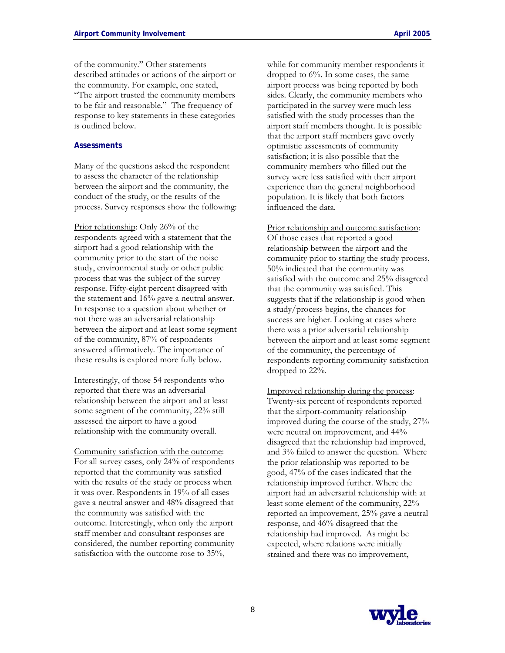of the community." Other statements described attitudes or actions of the airport or the community. For example, one stated, "The airport trusted the community members to be fair and reasonable." The frequency of response to key statements in these categories is outlined below.

### **Assessments**

Many of the questions asked the respondent to assess the character of the relationship between the airport and the community, the conduct of the study, or the results of the process. Survey responses show the following:

Prior relationship: Only 26% of the respondents agreed with a statement that the airport had a good relationship with the community prior to the start of the noise study, environmental study or other public process that was the subject of the survey response. Fifty-eight percent disagreed with the statement and 16% gave a neutral answer. In response to a question about whether or not there was an adversarial relationship between the airport and at least some segment of the community, 87% of respondents answered affirmatively. The importance of these results is explored more fully below.

Interestingly, of those 54 respondents who reported that there was an adversarial relationship between the airport and at least some segment of the community, 22% still assessed the airport to have a good relationship with the community overall.

Community satisfaction with the outcome: For all survey cases, only 24% of respondents reported that the community was satisfied with the results of the study or process when it was over. Respondents in 19% of all cases gave a neutral answer and 48% disagreed that the community was satisfied with the outcome. Interestingly, when only the airport staff member and consultant responses are considered, the number reporting community satisfaction with the outcome rose to 35%,

while for community member respondents it dropped to 6%. In some cases, the same airport process was being reported by both sides. Clearly, the community members who participated in the survey were much less satisfied with the study processes than the airport staff members thought. It is possible that the airport staff members gave overly optimistic assessments of community satisfaction; it is also possible that the community members who filled out the survey were less satisfied with their airport experience than the general neighborhood population. It is likely that both factors influenced the data.

Prior relationship and outcome satisfaction: Of those cases that reported a good relationship between the airport and the community prior to starting the study process, 50% indicated that the community was satisfied with the outcome and 25% disagreed that the community was satisfied. This suggests that if the relationship is good when a study/process begins, the chances for success are higher. Looking at cases where there was a prior adversarial relationship between the airport and at least some segment of the community, the percentage of respondents reporting community satisfaction dropped to 22%.

Improved relationship during the process: Twenty-six percent of respondents reported that the airport-community relationship improved during the course of the study, 27% were neutral on improvement, and 44% disagreed that the relationship had improved, and 3% failed to answer the question. Where the prior relationship was reported to be good, 47% of the cases indicated that the relationship improved further. Where the airport had an adversarial relationship with at least some element of the community, 22% reported an improvement, 25% gave a neutral response, and 46% disagreed that the relationship had improved. As might be expected, where relations were initially strained and there was no improvement,

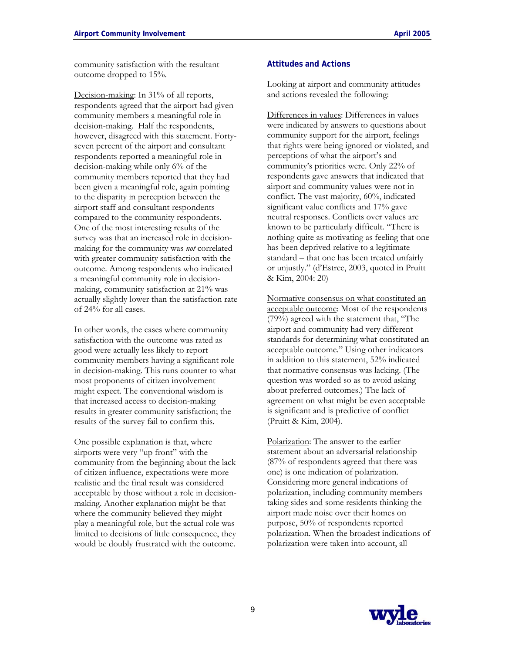community satisfaction with the resultant outcome dropped to 15%.

Decision-making: In 31% of all reports, respondents agreed that the airport had given community members a meaningful role in decision-making. Half the respondents, however, disagreed with this statement. Fortyseven percent of the airport and consultant respondents reported a meaningful role in decision-making while only 6% of the community members reported that they had been given a meaningful role, again pointing to the disparity in perception between the airport staff and consultant respondents compared to the community respondents. One of the most interesting results of the survey was that an increased role in decisionmaking for the community was *not* correlated with greater community satisfaction with the outcome. Among respondents who indicated a meaningful community role in decisionmaking, community satisfaction at 21% was actually slightly lower than the satisfaction rate of 24% for all cases.

In other words, the cases where community satisfaction with the outcome was rated as good were actually less likely to report community members having a significant role in decision-making. This runs counter to what most proponents of citizen involvement might expect. The conventional wisdom is that increased access to decision-making results in greater community satisfaction; the results of the survey fail to confirm this.

One possible explanation is that, where airports were very "up front" with the community from the beginning about the lack of citizen influence, expectations were more realistic and the final result was considered acceptable by those without a role in decisionmaking. Another explanation might be that where the community believed they might play a meaningful role, but the actual role was limited to decisions of little consequence, they would be doubly frustrated with the outcome.

### **Attitudes and Actions**

Looking at airport and community attitudes and actions revealed the following:

Differences in values: Differences in values were indicated by answers to questions about community support for the airport, feelings that rights were being ignored or violated, and perceptions of what the airport's and community's priorities were. Only 22% of respondents gave answers that indicated that airport and community values were not in conflict. The vast majority, 60%, indicated significant value conflicts and 17% gave neutral responses. Conflicts over values are known to be particularly difficult. "There is nothing quite as motivating as feeling that one has been deprived relative to a legitimate standard – that one has been treated unfairly or unjustly." (d'Estree, 2003, quoted in Pruitt & Kim, 2004: 20)

Normative consensus on what constituted an acceptable outcome: Most of the respondents (79%) agreed with the statement that, "The airport and community had very different standards for determining what constituted an acceptable outcome." Using other indicators in addition to this statement, 52% indicated that normative consensus was lacking. (The question was worded so as to avoid asking about preferred outcomes.) The lack of agreement on what might be even acceptable is significant and is predictive of conflict (Pruitt & Kim, 2004).

Polarization: The answer to the earlier statement about an adversarial relationship (87% of respondents agreed that there was one) is one indication of polarization. Considering more general indications of polarization, including community members taking sides and some residents thinking the airport made noise over their homes on purpose, 50% of respondents reported polarization. When the broadest indications of polarization were taken into account, all

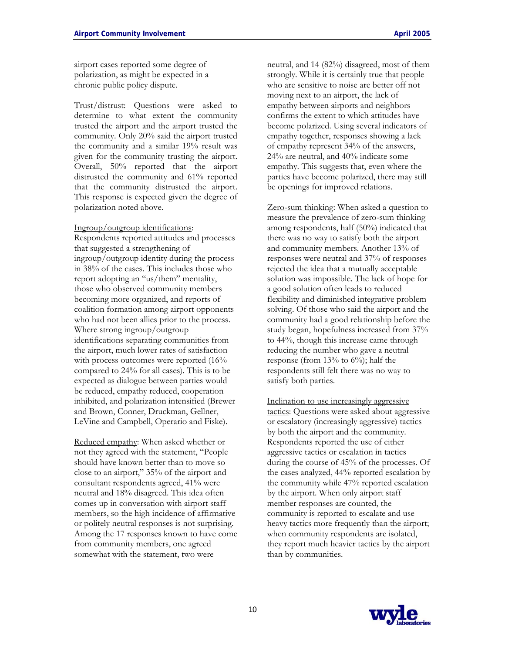airport cases reported some degree of polarization, as might be expected in a chronic public policy dispute.

Trust/distrust: Questions were asked to determine to what extent the community trusted the airport and the airport trusted the community. Only 20% said the airport trusted the community and a similar 19% result was given for the community trusting the airport. Overall, 50% reported that the airport distrusted the community and 61% reported that the community distrusted the airport. This response is expected given the degree of polarization noted above.

#### Ingroup/outgroup identifications:

Respondents reported attitudes and processes that suggested a strengthening of ingroup/outgroup identity during the process in 38% of the cases. This includes those who report adopting an "us/them" mentality, those who observed community members becoming more organized, and reports of coalition formation among airport opponents who had not been allies prior to the process. Where strong ingroup/outgroup identifications separating communities from the airport, much lower rates of satisfaction with process outcomes were reported  $(16\%$ compared to 24% for all cases). This is to be expected as dialogue between parties would be reduced, empathy reduced, cooperation inhibited, and polarization intensified (Brewer and Brown, Conner, Druckman, Gellner, LeVine and Campbell, Operario and Fiske).

Reduced empathy: When asked whether or not they agreed with the statement, "People should have known better than to move so close to an airport," 35% of the airport and consultant respondents agreed, 41% were neutral and 18% disagreed. This idea often comes up in conversation with airport staff members, so the high incidence of affirmative or politely neutral responses is not surprising. Among the 17 responses known to have come from community members, one agreed somewhat with the statement, two were

neutral, and 14 (82%) disagreed, most of them strongly. While it is certainly true that people who are sensitive to noise are better off not moving next to an airport, the lack of empathy between airports and neighbors confirms the extent to which attitudes have become polarized. Using several indicators of empathy together, responses showing a lack of empathy represent 34% of the answers, 24% are neutral, and 40% indicate some empathy. This suggests that, even where the parties have become polarized, there may still be openings for improved relations.

Zero-sum thinking: When asked a question to measure the prevalence of zero-sum thinking among respondents, half (50%) indicated that there was no way to satisfy both the airport and community members. Another 13% of responses were neutral and 37% of responses rejected the idea that a mutually acceptable solution was impossible. The lack of hope for a good solution often leads to reduced flexibility and diminished integrative problem solving. Of those who said the airport and the community had a good relationship before the study began, hopefulness increased from 37% to 44%, though this increase came through reducing the number who gave a neutral response (from  $13\%$  to  $6\%$ ); half the respondents still felt there was no way to satisfy both parties.

Inclination to use increasingly aggressive tactics: Questions were asked about aggressive or escalatory (increasingly aggressive) tactics by both the airport and the community. Respondents reported the use of either aggressive tactics or escalation in tactics during the course of 45% of the processes. Of the cases analyzed, 44% reported escalation by the community while 47% reported escalation by the airport. When only airport staff member responses are counted, the community is reported to escalate and use heavy tactics more frequently than the airport; when community respondents are isolated, they report much heavier tactics by the airport than by communities.

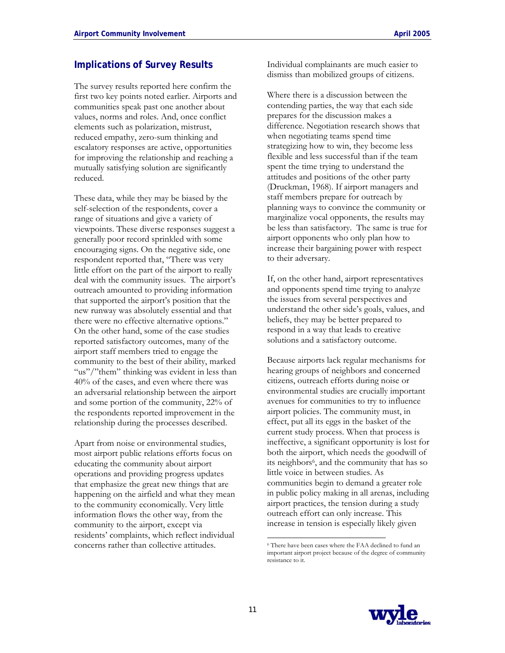## **Implications of Survey Results**

The survey results reported here confirm the first two key points noted earlier. Airports and communities speak past one another about values, norms and roles. And, once conflict elements such as polarization, mistrust, reduced empathy, zero-sum thinking and escalatory responses are active, opportunities for improving the relationship and reaching a mutually satisfying solution are significantly reduced.

These data, while they may be biased by the self-selection of the respondents, cover a range of situations and give a variety of viewpoints. These diverse responses suggest a generally poor record sprinkled with some encouraging signs. On the negative side, one respondent reported that, "There was very little effort on the part of the airport to really deal with the community issues. The airport's outreach amounted to providing information that supported the airport's position that the new runway was absolutely essential and that there were no effective alternative options." On the other hand, some of the case studies reported satisfactory outcomes, many of the airport staff members tried to engage the community to the best of their ability, marked "us"/"them" thinking was evident in less than 40% of the cases, and even where there was an adversarial relationship between the airport and some portion of the community, 22% of the respondents reported improvement in the relationship during the processes described.

Apart from noise or environmental studies, most airport public relations efforts focus on educating the community about airport operations and providing progress updates that emphasize the great new things that are happening on the airfield and what they mean to the community economically. Very little information flows the other way, from the community to the airport, except via residents' complaints, which reflect individual concerns rather than collective attitudes.

Individual complainants are much easier to dismiss than mobilized groups of citizens.

Where there is a discussion between the contending parties, the way that each side prepares for the discussion makes a difference. Negotiation research shows that when negotiating teams spend time strategizing how to win, they become less flexible and less successful than if the team spent the time trying to understand the attitudes and positions of the other party (Druckman, 1968). If airport managers and staff members prepare for outreach by planning ways to convince the community or marginalize vocal opponents, the results may be less than satisfactory. The same is true for airport opponents who only plan how to increase their bargaining power with respect to their adversary.

If, on the other hand, airport representatives and opponents spend time trying to analyze the issues from several perspectives and understand the other side's goals, values, and beliefs, they may be better prepared to respond in a way that leads to creative solutions and a satisfactory outcome.

Because airports lack regular mechanisms for hearing groups of neighbors and concerned citizens, outreach efforts during noise or environmental studies are crucially important avenues for communities to try to influence airport policies. The community must, in effect, put all its eggs in the basket of the current study process. When that process is ineffective, a significant opportunity is lost for both the airport, which needs the goodwill of its neighbors6, and the community that has so little voice in between studies. As communities begin to demand a greater role in public policy making in all arenas, including airport practices, the tension during a study outreach effort can only increase. This increase in tension is especially likely given



<sup>6</sup> There have been cases where the FAA declined to fund an important airport project because of the degree of community resistance to it.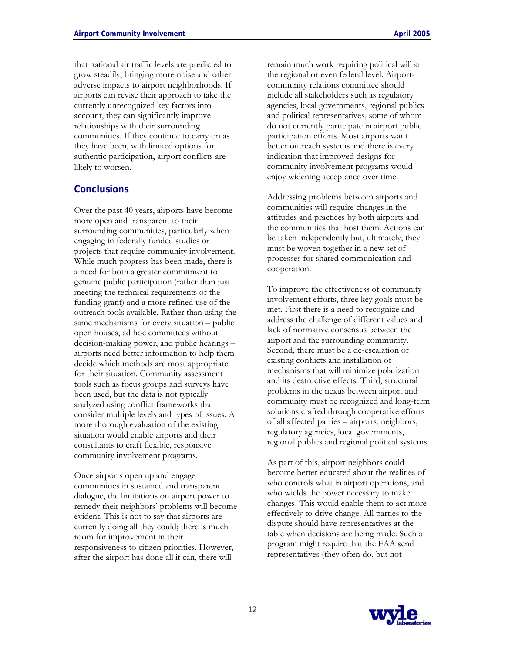that national air traffic levels are predicted to grow steadily, bringing more noise and other adverse impacts to airport neighborhoods. If airports can revise their approach to take the currently unrecognized key factors into account, they can significantly improve relationships with their surrounding communities. If they continue to carry on as they have been, with limited options for authentic participation, airport conflicts are likely to worsen.

### **Conclusions**

Over the past 40 years, airports have become more open and transparent to their surrounding communities, particularly when engaging in federally funded studies or projects that require community involvement. While much progress has been made, there is a need for both a greater commitment to genuine public participation (rather than just meeting the technical requirements of the funding grant) and a more refined use of the outreach tools available. Rather than using the same mechanisms for every situation – public open houses, ad hoc committees without decision-making power, and public hearings – airports need better information to help them decide which methods are most appropriate for their situation. Community assessment tools such as focus groups and surveys have been used, but the data is not typically analyzed using conflict frameworks that consider multiple levels and types of issues. A more thorough evaluation of the existing situation would enable airports and their consultants to craft flexible, responsive community involvement programs.

Once airports open up and engage communities in sustained and transparent dialogue, the limitations on airport power to remedy their neighbors' problems will become evident. This is not to say that airports are currently doing all they could; there is much room for improvement in their responsiveness to citizen priorities. However, after the airport has done all it can, there will

remain much work requiring political will at the regional or even federal level. Airportcommunity relations committee should include all stakeholders such as regulatory agencies, local governments, regional publics and political representatives, some of whom do not currently participate in airport public participation efforts. Most airports want better outreach systems and there is every indication that improved designs for community involvement programs would enjoy widening acceptance over time.

Addressing problems between airports and communities will require changes in the attitudes and practices by both airports and the communities that host them. Actions can be taken independently but, ultimately, they must be woven together in a new set of processes for shared communication and cooperation.

To improve the effectiveness of community involvement efforts, three key goals must be met. First there is a need to recognize and address the challenge of different values and lack of normative consensus between the airport and the surrounding community. Second, there must be a de-escalation of existing conflicts and installation of mechanisms that will minimize polarization and its destructive effects. Third, structural problems in the nexus between airport and community must be recognized and long-term solutions crafted through cooperative efforts of all affected parties – airports, neighbors, regulatory agencies, local governments, regional publics and regional political systems.

As part of this, airport neighbors could become better educated about the realities of who controls what in airport operations, and who wields the power necessary to make changes. This would enable them to act more effectively to drive change. All parties to the dispute should have representatives at the table when decisions are being made. Such a program might require that the FAA send representatives (they often do, but not

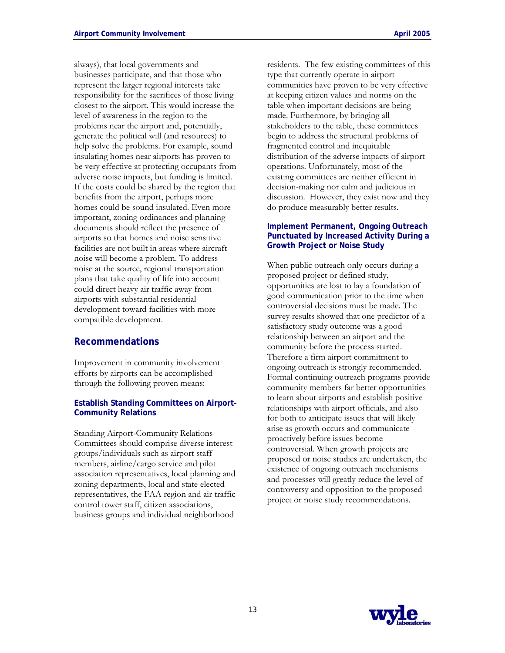always), that local governments and businesses participate, and that those who represent the larger regional interests take responsibility for the sacrifices of those living closest to the airport. This would increase the level of awareness in the region to the problems near the airport and, potentially, generate the political will (and resources) to help solve the problems. For example, sound insulating homes near airports has proven to be very effective at protecting occupants from adverse noise impacts, but funding is limited. If the costs could be shared by the region that benefits from the airport, perhaps more homes could be sound insulated. Even more important, zoning ordinances and planning documents should reflect the presence of airports so that homes and noise sensitive facilities are not built in areas where aircraft noise will become a problem. To address noise at the source, regional transportation plans that take quality of life into account could direct heavy air traffic away from airports with substantial residential development toward facilities with more compatible development.

### **Recommendations**

Improvement in community involvement efforts by airports can be accomplished through the following proven means:

### **Establish Standing Committees on Airport-Community Relations**

Standing Airport-Community Relations Committees should comprise diverse interest groups/individuals such as airport staff members, airline/cargo service and pilot association representatives, local planning and zoning departments, local and state elected representatives, the FAA region and air traffic control tower staff, citizen associations, business groups and individual neighborhood

residents. The few existing committees of this type that currently operate in airport communities have proven to be very effective at keeping citizen values and norms on the table when important decisions are being made. Furthermore, by bringing all stakeholders to the table, these committees begin to address the structural problems of fragmented control and inequitable distribution of the adverse impacts of airport operations. Unfortunately, most of the existing committees are neither efficient in decision-making nor calm and judicious in discussion. However, they exist now and they do produce measurably better results.

### **Implement Permanent, Ongoing Outreach Punctuated by Increased Activity During a Growth Project or Noise Study**

When public outreach only occurs during a proposed project or defined study, opportunities are lost to lay a foundation of good communication prior to the time when controversial decisions must be made. The survey results showed that one predictor of a satisfactory study outcome was a good relationship between an airport and the community before the process started. Therefore a firm airport commitment to ongoing outreach is strongly recommended. Formal continuing outreach programs provide community members far better opportunities to learn about airports and establish positive relationships with airport officials, and also for both to anticipate issues that will likely arise as growth occurs and communicate proactively before issues become controversial. When growth projects are proposed or noise studies are undertaken, the existence of ongoing outreach mechanisms and processes will greatly reduce the level of controversy and opposition to the proposed project or noise study recommendations.